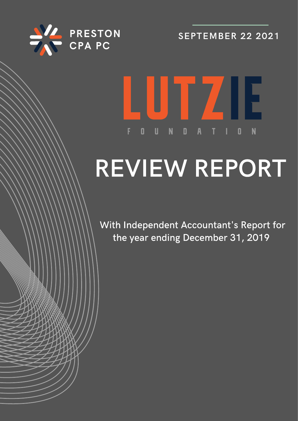

**SEPTEMBER 22 2021** 

# LUTZIE  $\mathbf{0}$  $\mathbf{U}$  $\blacksquare$ F  $\blacksquare$

# REVIEW REPORT

With Independent Accountant's Report for the year ending December 31, 2019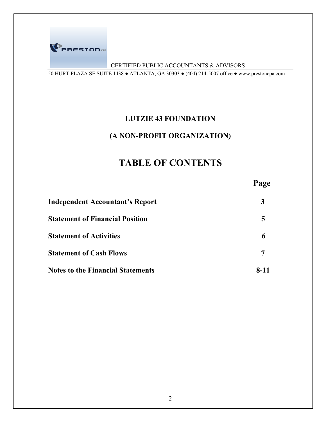

# CERTIFIED PUBLIC ACCOUNTANTS & ADVISORS

50 HURT PLAZA SE SUITE 1438 ● ATLANTA, GA 30303 ● (404) 214-5007 office ● www.prestoncpa.com

# **LUTZIE 43 FOUNDATION**

# **(A NON-PROFIT ORGANIZATION)**

# **TABLE OF CONTENTS**

|                                          | Page |
|------------------------------------------|------|
| <b>Independent Accountant's Report</b>   | 3    |
| <b>Statement of Financial Position</b>   | 5    |
| <b>Statement of Activities</b>           | 6    |
| <b>Statement of Cash Flows</b>           |      |
| <b>Notes to the Financial Statements</b> | 8-11 |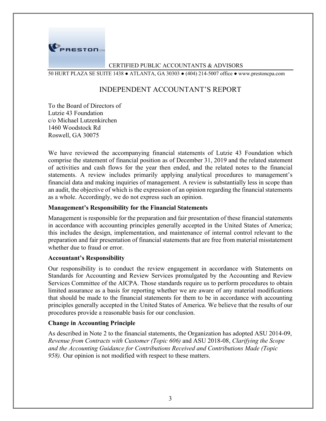

## CERTIFIED PUBLIC ACCOUNTANTS & ADVISORS

50 HURT PLAZA SE SUITE 1438 ● ATLANTA, GA 30303 ● (404) 214-5007 office ● www.prestoncpa.com

# INDEPENDENT ACCOUNTANT'S REPORT

To the Board of Directors of Lutzie 43 Foundation c/o Michael Lutzenkirchen 1460 Woodstock Rd Roswell, GA 30075

We have reviewed the accompanying financial statements of Lutzie 43 Foundation which comprise the statement of financial position as of December 31, 2019 and the related statement of activities and cash flows for the year then ended, and the related notes to the financial statements. A review includes primarily applying analytical procedures to management's financial data and making inquiries of management. A review is substantially less in scope than an audit, the objective of which is the expression of an opinion regarding the financial statements as a whole. Accordingly, we do not express such an opinion.

# **Management's Responsibility for the Financial Statements**

Management is responsible for the preparation and fair presentation of these financial statements in accordance with accounting principles generally accepted in the United States of America; this includes the design, implementation, and maintenance of internal control relevant to the preparation and fair presentation of financial statements that are free from material misstatement whether due to fraud or error.

#### **Accountant's Responsibility**

Our responsibility is to conduct the review engagement in accordance with Statements on Standards for Accounting and Review Services promulgated by the Accounting and Review Services Committee of the AICPA. Those standards require us to perform procedures to obtain limited assurance as a basis for reporting whether we are aware of any material modifications that should be made to the financial statements for them to be in accordance with accounting principles generally accepted in the United States of America. We believe that the results of our procedures provide a reasonable basis for our conclusion.

# **Change in Accounting Principle**

As described in Note 2 to the financial statements, the Organization has adopted ASU 2014-09, *Revenue from Contracts with Customer (Topic 606)* and ASU 2018-08, *Clarifying the Scope and the Accounting Guidance for Contributions Received and Contributions Made (Topic 958).* Our opinion is not modified with respect to these matters.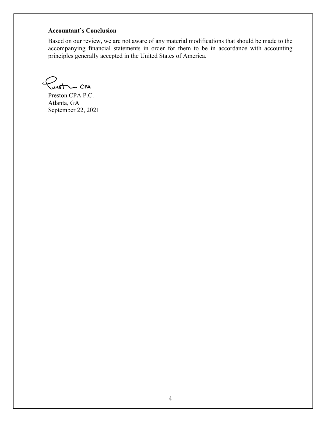# **Accountant's Conclusion**

Based on our review, we are not aware of any material modifications that should be made to the accompanying financial statements in order for them to be in accordance with accounting principles generally accepted in the United States of America.

 $\sqrt{u}$ 

Preston CPA P.C. Atlanta, GA September 22, 2021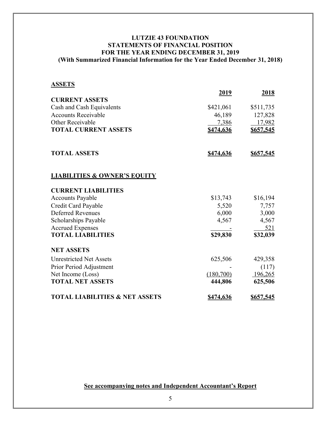# **LUTZIE 43 FOUNDATION STATEMENTS OF FINANCIAL POSITION FOR THE YEAR ENDING DECEMBER 31, 2019 (With Summarized Financial Information for the Year Ended December 31, 2018)**

## **ASSETS**

|                                           | 2019             | 2018             |
|-------------------------------------------|------------------|------------------|
| <b>CURRENT ASSETS</b>                     |                  |                  |
| Cash and Cash Equivalents                 | \$421,061        | \$511,735        |
| <b>Accounts Receivable</b>                | 46,189           | 127,828          |
| Other Receivable                          | 7,386            | 17,982           |
| <b>TOTAL CURRENT ASSETS</b>               | \$474,636        | \$657,545        |
| <b>TOTAL ASSETS</b>                       | \$474,636        | \$657,545        |
| <b>LIABILITIES &amp; OWNER'S EQUITY</b>   |                  |                  |
| <b>CURRENT LIABILITIES</b>                |                  |                  |
| <b>Accounts Payable</b>                   | \$13,743         | \$16,194         |
| Credit Card Payable                       | 5,520            | 7,757            |
| <b>Deferred Revenues</b>                  | 6,000            | 3,000            |
| Scholarships Payable                      | 4,567            | 4,567            |
| <b>Accrued Expenses</b>                   |                  | 521              |
| <b>TOTAL LIABILITIES</b>                  | \$29,830         | \$32,039         |
| <b>NET ASSETS</b>                         |                  |                  |
| <b>Unrestricted Net Assets</b>            | 625,506          | 429,358          |
| Prior Period Adjustment                   |                  | (117)            |
| Net Income (Loss)                         | (180,700)        | 196,265          |
| <b>TOTAL NET ASSETS</b>                   | 444,806          | 625,506          |
| <b>TOTAL LIABILITIES &amp; NET ASSETS</b> | <u>\$474,636</u> | <u>\$657,545</u> |

**See accompanying notes and Independent Accountant's Report**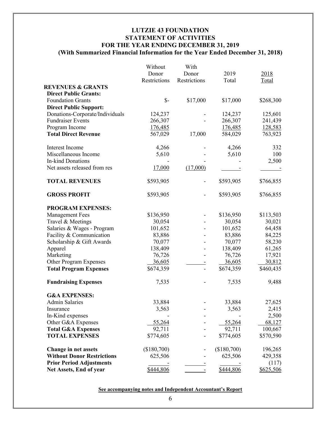# **LUTZIE 43 FOUNDATION STATEMENT OF ACTIVITIES FOR THE YEAR ENDING DECEMBER 31, 2019 (With Summarized Financial Information for the Year Ended December 31, 2018)**

|                                   | Without         | With         |             |           |
|-----------------------------------|-----------------|--------------|-------------|-----------|
|                                   | Donor           | Donor        | 2019        | 2018      |
|                                   | Restrictions    | Restrictions | Total       | Total     |
| <b>REVENUES &amp; GRANTS</b>      |                 |              |             |           |
| <b>Direct Public Grants:</b>      |                 |              |             |           |
| <b>Foundation Grants</b>          | $\mathcal{S}$ - | \$17,000     | \$17,000    | \$268,300 |
|                                   |                 |              |             |           |
| <b>Direct Public Support:</b>     |                 |              |             |           |
| Donations-Corporate/Individuals   | 124,237         |              | 124,237     | 125,601   |
| <b>Fundraiser Events</b>          | 266,307         |              | 266,307     | 241,439   |
| Program Income                    | 176,485         |              | 176,485     | 128,583   |
| <b>Total Direct Revenue</b>       | 567,029         | 17,000       | 584,029     | 763,923   |
| Interest Income                   | 4,266           |              | 4,266       | 332       |
| Miscellaneous Income              | 5,610           |              | 5,610       | 100       |
| <b>In-kind Donations</b>          |                 |              |             | 2,500     |
| Net assets released from res      | 17,000          | (17,000)     |             |           |
| <b>TOTAL REVENUES</b>             | \$593,905       |              | \$593,905   | \$766,855 |
| <b>GROSS PROFIT</b>               | \$593,905       |              | \$593,905   | \$766,855 |
| <b>PROGRAM EXPENSES:</b>          |                 |              |             |           |
| <b>Management Fees</b>            | \$136,950       |              | \$136,950   | \$113,503 |
| Travel & Meetings                 | 30,054          |              | 30,054      | 30,021    |
| Salaries & Wages - Program        | 101,652         |              | 101,652     | 64,458    |
| Facility & Communication          | 83,886          |              | 83,886      | 84,225    |
| Scholarship & Gift Awards         | 70,077          |              | 70,077      | 58,230    |
| Apparel                           | 138,409         |              | 138,409     | 61,265    |
| Marketing                         | 76,726          |              | 76,726      | 17,921    |
| Other Program Expenses            | 36,605          |              | 36,605      | 30,812    |
| <b>Total Program Expenses</b>     | \$674,359       | Ξ            | \$674,359   | \$460,435 |
| <b>Fundraising Expenses</b>       | 7,535           |              | 7,535       | 9,488     |
| <b>G&amp;A EXPENSES:</b>          |                 |              |             |           |
| Admin Salaries                    | 33,884          |              | 33,884      | 27,625    |
| Insurance                         | 3,563           |              | 3,563       | 2,415     |
| In-Kind expenses                  |                 |              |             | 2,500     |
| Other G&A Expenses                | 55,264          |              | 55,264      | 68,127    |
| <b>Total G&amp;A Expenses</b>     | 92,711          |              | 92,711      | 100,667   |
| <b>TOTAL EXPENSES</b>             | \$774,605       |              | \$774,605   | \$570,590 |
| <b>Change in net assets</b>       | (\$180,700)     |              | (\$180,700) | 196,265   |
| <b>Without Donor Restrictions</b> | 625,506         |              | 625,506     | 429,358   |
| <b>Prior Period Adjustments</b>   |                 |              |             | (117)     |
|                                   | \$444,806       |              | \$444,806   | \$625,506 |
| Net Assets, End of year           |                 |              |             |           |

**See accompanying notes and Independent Accountant's Report**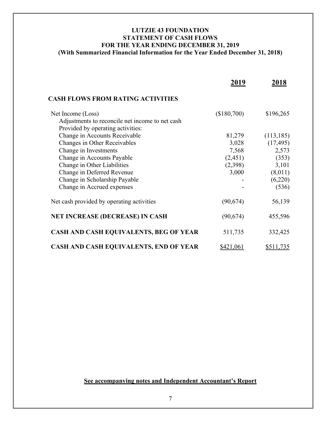# **LUTZIE 43 FOUNDATION STATEMENT OF CASH FLOWS FOR THE YEAR ENDING DECEMBER 31, 2019 (With Summarized Financial Information for the Year Ended December 31, 2018)**

|                                                 | 2019        | 2018       |
|-------------------------------------------------|-------------|------------|
| <b>CASH FLOWS FROM RATING ACTIVITIES</b>        |             |            |
| Net Income (Loss)                               | (\$180,700) | \$196,265  |
| Adjustments to reconcile net income to net cash |             |            |
| Provided by operating activities:               |             |            |
| Change in Accounts Receivable                   | 81,279      | (113, 185) |
| Changes in Other Receivables                    | 3,028       | (17, 495)  |
| Change in Investments                           | 7,568       | 2,573      |
| Change in Accounts Payable                      | (2,451)     | (353)      |
| Change in Other Liabilities                     | (2,398)     | 3,101      |
| Change in Deferred Revenue                      | 3,000       | (8,011)    |
| Change in Scholarship Payable                   |             | (6,220)    |
| Change in Accrued expenses                      |             | (536)      |
| Net cash provided by operating activities       | (90,674)    | 56,139     |
| <b>NET INCREASE (DECREASE) IN CASH</b>          | (90, 674)   | 455,596    |
| CASH AND CASH EQUIVALENTS, BEG OF YEAR          | 511,735     | 332,425    |
| CASH AND CASH EQUIVALENTS, END OF YEAR          | \$421,061   | \$511,735  |

**See accompanying notes and Independent Accountant's Report**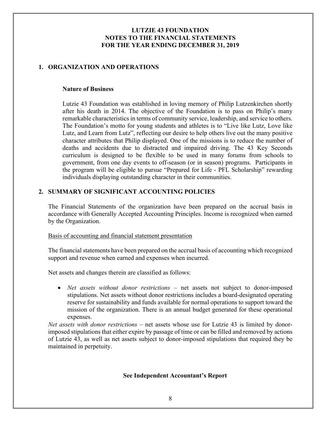# **1. ORGANIZATION AND OPERATIONS**

#### **Nature of Business**

Lutzie 43 Foundation was established in loving memory of Philip Lutzenkirchen shortly after his death in 2014. The objective of the Foundation is to pass on Philip's many remarkable characteristics in terms of community service, leadership, and service to others. The Foundation's motto for young students and athletes is to "Live like Lutz, Love like Lutz, and Learn from Lutz", reflecting our desire to help others live out the many positive character attributes that Philip displayed. One of the missions is to reduce the number of deaths and accidents due to distracted and impaired driving. The 43 Key Seconds curriculum is designed to be flexible to be used in many forums from schools to government, from one day events to off-season (or in season) programs. Participants in the program will be eligible to pursue "Prepared for Life - PFL Scholarship" rewarding individuals displaying outstanding character in their communities.

# **2. SUMMARY OF SIGNIFICANT ACCOUNTING POLICIES**

The Financial Statements of the organization have been prepared on the accrual basis in accordance with Generally Accepted Accounting Principles. Income is recognized when earned by the Organization.

#### Basis of accounting and financial statement presentation

The financial statements have been prepared on the accrual basis of accounting which recognized support and revenue when earned and expenses when incurred.

Net assets and changes therein are classified as follows:

• *Net assets without donor restrictions* – net assets not subject to donor-imposed stipulations. Net assets without donor restrictions includes a board-designated operating reserve for sustainability and funds available for normal operations to support toward the mission of the organization. There is an annual budget generated for these operational expenses.

*Net assets with donor restrictions* – net assets whose use for Lutzie 43 is limited by donorimposed stipulations that either expire by passage of time or can be filled and removed by actions of Lutzie 43, as well as net assets subject to donor-imposed stipulations that required they be maintained in perpetuity.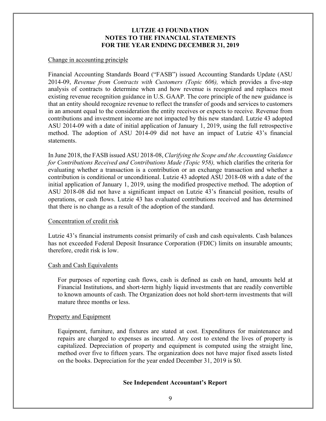#### Change in accounting principle

Financial Accounting Standards Board ("FASB") issued Accounting Standards Update (ASU 2014-09, *Revenue from Contracts with Customers (Topic 606),* which provides a five-step analysis of contracts to determine when and how revenue is recognized and replaces most existing revenue recognition guidance in U.S. GAAP. The core principle of the new guidance is that an entity should recognize revenue to reflect the transfer of goods and services to customers in an amount equal to the consideration the entity receives or expects to receive. Revenue from contributions and investment income are not impacted by this new standard. Lutzie 43 adopted ASU 2014-09 with a date of initial application of January 1, 2019, using the full retrospective method. The adoption of ASU 2014-09 did not have an impact of Lutzie 43's financial statements.

In June 2018, the FASB issued ASU 2018-08, *Clarifying the Scope and the Accounting Guidance for Contributions Received and Contributions Made (Topic 958),* which clarifies the criteria for evaluating whether a transaction is a contribution or an exchange transaction and whether a contribution is conditional or unconditional. Lutzie 43 adopted ASU 2018-08 with a date of the initial application of January 1, 2019, using the modified prospective method. The adoption of ASU 2018-08 did not have a significant impact on Lutzie 43's financial position, results of operations, or cash flows. Lutzie 43 has evaluated contributions received and has determined that there is no change as a result of the adoption of the standard.

#### Concentration of credit risk

Lutzie 43's financial instruments consist primarily of cash and cash equivalents. Cash balances has not exceeded Federal Deposit Insurance Corporation (FDIC) limits on insurable amounts; therefore, credit risk is low.

#### Cash and Cash Equivalents

For purposes of reporting cash flows, cash is defined as cash on hand, amounts held at Financial Institutions, and short-term highly liquid investments that are readily convertible to known amounts of cash. The Organization does not hold short-term investments that will mature three months or less.

#### Property and Equipment

Equipment, furniture, and fixtures are stated at cost. Expenditures for maintenance and repairs are charged to expenses as incurred. Any cost to extend the lives of property is capitalized. Depreciation of property and equipment is computed using the straight line, method over five to fifteen years. The organization does not have major fixed assets listed on the books. Depreciation for the year ended December 31, 2019 is \$0.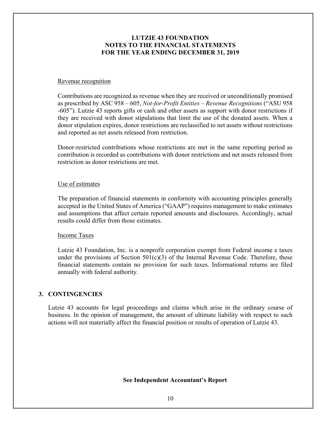#### Revenue recognition

Contributions are recognized as revenue when they are received or unconditionally promised as prescribed by ASC 958 – 605, *Not-for-Profit Entities – Revenue Recognitions* ("ASU 958 -605"). Lutzie 43 reports gifts or cash and other assets as support with donor restrictions if they are received with donor stipulations that limit the use of the donated assets. When a donor stipulation expires, donor restrictions are reclassified to net assets without restrictions and reported as net assets released from restriction.

Donor-restricted contributions whose restrictions are met in the same reporting period as contribution is recorded as contributions with donor restrictions and net assets released from restriction as donor restrictions are met.

#### Use of estimates

The preparation of financial statements in conformity with accounting principles generally accepted in the United States of America ("GAAP") requires management to make estimates and assumptions that affect certain reported amounts and disclosures. Accordingly, actual results could differ from those estimates.

#### Income Taxes

Lutzie 43 Foundation, Inc. is a nonprofit corporation exempt from Federal income e taxes under the provisions of Section  $501(c)(3)$  of the Internal Revenue Code. Therefore, these financial statements contain no provision for such taxes. Informational returns are filed annually with federal authority.

#### **3. CONTINGENCIES**

Lutzie 43 accounts for legal proceedings and claims which arise in the ordinary course of business. In the opinion of management, the amount of ultimate liability with respect to such actions will not materially affect the financial position or results of operation of Lutzie 43.